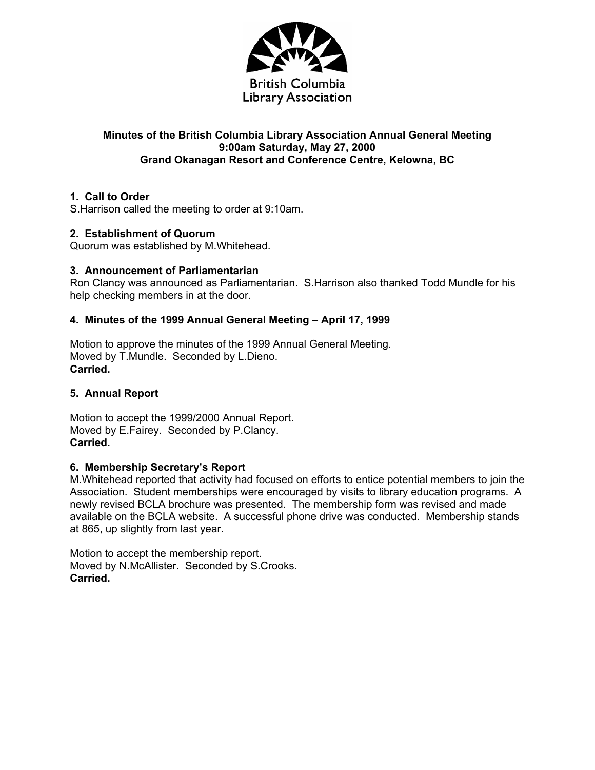

# **Minutes of the British Columbia Library Association Annual General Meeting 9:00am Saturday, May 27, 2000 Grand Okanagan Resort and Conference Centre, Kelowna, BC**

# **1. Call to Order**

S.Harrison called the meeting to order at 9:10am.

# **2. Establishment of Quorum**

Quorum was established by M.Whitehead.

## **3. Announcement of Parliamentarian**

Ron Clancy was announced as Parliamentarian. S.Harrison also thanked Todd Mundle for his help checking members in at the door.

## **4. Minutes of the 1999 Annual General Meeting – April 17, 1999**

Motion to approve the minutes of the 1999 Annual General Meeting. Moved by T.Mundle. Seconded by L.Dieno. **Carried.** 

# **5. Annual Report**

Motion to accept the 1999/2000 Annual Report. Moved by E.Fairey. Seconded by P.Clancy. **Carried.** 

#### **6. Membership Secretary's Report**

M.Whitehead reported that activity had focused on efforts to entice potential members to join the Association. Student memberships were encouraged by visits to library education programs. A newly revised BCLA brochure was presented. The membership form was revised and made available on the BCLA website. A successful phone drive was conducted. Membership stands at 865, up slightly from last year.

Motion to accept the membership report. Moved by N.McAllister. Seconded by S.Crooks. **Carried.**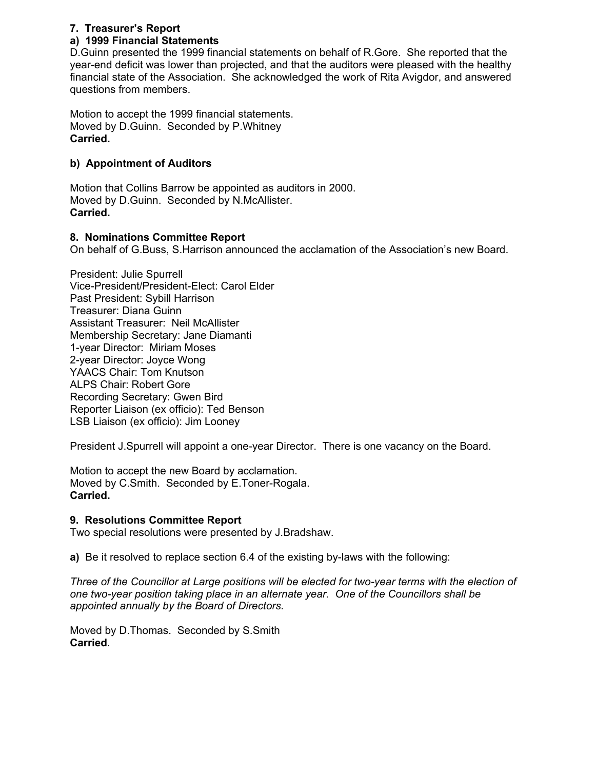# **7. Treasurer's Report**

# **a) 1999 Financial Statements**

D.Guinn presented the 1999 financial statements on behalf of R.Gore. She reported that the year-end deficit was lower than projected, and that the auditors were pleased with the healthy financial state of the Association. She acknowledged the work of Rita Avigdor, and answered questions from members.

Motion to accept the 1999 financial statements. Moved by D.Guinn. Seconded by P.Whitney **Carried.** 

# **b) Appointment of Auditors**

Motion that Collins Barrow be appointed as auditors in 2000. Moved by D.Guinn. Seconded by N.McAllister. **Carried.** 

## **8. Nominations Committee Report**

On behalf of G.Buss, S.Harrison announced the acclamation of the Association's new Board.

President: Julie Spurrell Vice-President/President-Elect: Carol Elder Past President: Sybill Harrison Treasurer: Diana Guinn Assistant Treasurer: Neil McAllister Membership Secretary: Jane Diamanti 1-year Director: Miriam Moses 2-year Director: Joyce Wong YAACS Chair: Tom Knutson ALPS Chair: Robert Gore Recording Secretary: Gwen Bird Reporter Liaison (ex officio): Ted Benson LSB Liaison (ex officio): Jim Looney

President J.Spurrell will appoint a one-year Director. There is one vacancy on the Board.

Motion to accept the new Board by acclamation. Moved by C.Smith. Seconded by E.Toner-Rogala. **Carried.** 

#### **9. Resolutions Committee Report**

Two special resolutions were presented by J.Bradshaw.

**a)** Be it resolved to replace section 6.4 of the existing by-laws with the following:

*Three of the Councillor at Large positions will be elected for two-year terms with the election of one two-year position taking place in an alternate year. One of the Councillors shall be appointed annually by the Board of Directors.* 

Moved by D.Thomas. Seconded by S.Smith **Carried**.